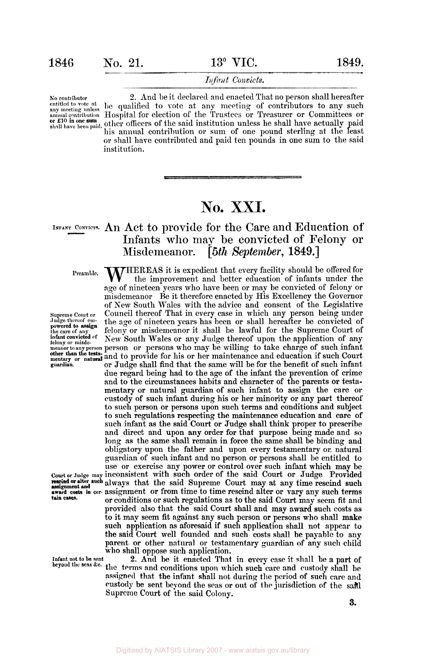## Infant Convicts.

No contributor 2. And be it declared and enacted That no person shall hereafter<br>entitled to vote at any meeting of contributors to any such entitled to vote at be qualified to vote at any meeting of contributors to any such **annual contribution** Hospital for election of the Trustees or Treasurer or Committees or or £10 in one sum<br>shall have been paid. Other officers of the said institution unless he shall have actually paid his annual contribution or sum of one pound sterling at the least or shall have contributed and paid ten pounds in one sum to the said institution.

# **No. XXI.**

## **INFANT CONVICTS.** An **Act** to provide for the Care and Education of Infants **who** may be convicted of Felony or Misdemeanor. [ *5th September,* 1849.]

**Supreme Court or Judge thereof empowered to assign<br>powered to assign<br>the care of any<br>infant convicted of other than the testa-**

**tain cases.** 

**Infant not to be sent** 

**Preamble. WHEREAS** it is expedient that every facility should be offered for the improvement and better education of infants under the age of nineteen years who have been or may be convicted of felony or misdemeanor Be it therefore enacted by His Excellency the Governor of New South Wales with the advice and consent of the Legislative Council thereof That in every case in which any person being under the age of nineteen years has been or shall hereafter be convicted of felony or misdemeanor it shall be lawful for the Supreme Court of New South Wales or any Judge thereof upon the application of any *infant convicted of* New South Wales or any Judge thereof upon the application of any **meanor to any person** person **or** persons who may be willing to take charge of such infant **mentary or** and to provide for his **or** her maintenance and education if such Court **guardian.** or Judge shall find that the same will be for the benefit of such infant due regard being had to the age of the infant the prevention **of** crime and to the circumstances habits and character of the parents **or** testamentary or natural guardian of such infant to assign the care **or**  custody of such infant during his **or** her minority or any part thereof to such person or persons upon such terms and conditions and subject to such regulations respecting the maintenance education and care of such infant as the said **Court or** Judge shall think proper to prescribe and direct **and** upon any order **for** that purpose being made and *so*  long as the same shall remain in force the same shall be binding and obligatory upon the father and upon every testamentary or, natural guardian of such infant and no person or persons shall be entitled to use or exercise any power or control over such infant which may be **court or Judge may** inconsistent with such order of the said Court or Judge Provided rescind or alter such always that the said Supreme Court may at any time rescind such **award costs in cer-** assignment or from time to time rescind alter or **vary** any such terms or conditions **or** such regulations as to the said Court may seem fit and provided also that the said Court shall and may award such costs as to it map seem fit against any such person **or** persons who shall make such application **as** aforesaid if snch application shall not appear to the said **Court** well founded and such costs shall be payable to any parent or other natural or testamentary guardian of any such child who shall **oppose** such application.

**2. And** be it enacted That in every case it shall be a part of the terms and conditions upon which such care and custody shall be **beyond the seas &c. assigned** that the infant shall not during the period **of** such care and custody he sent beyond the **seas** or out of the jurisdiction of the said Supreme **Court of** the said **Colony.**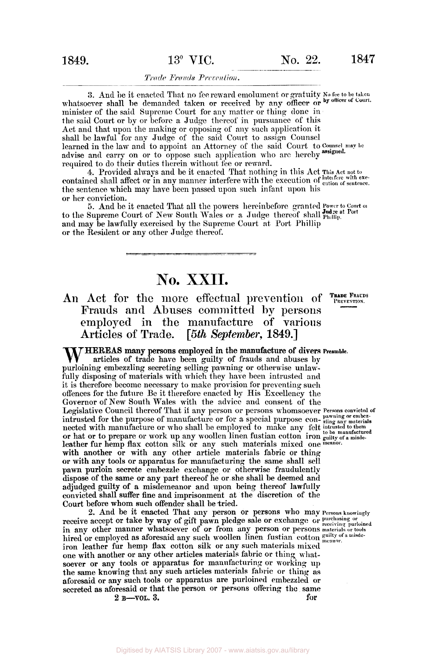# **1849. 13<sup>°</sup> VIC. No. 22. 1847**

### Trade Frauds Prevention.

**3.** And he it enacted That no fee reward emolument or gratuity No fee to be taken whatsoever shall be demanded taken or received by any officer or by officer of Court. minister of the said Supreme Court for any matter or thing done in the said Court or by or before a Judge thereof in pursuance of this Act and that upon the making or opposing of any such application it shall be lawful for any Judge of the said Court to assign Counsel learned in the law and to appoint an Attorney of the said Court to **Counsel may be**  advise and carry on or to oppose such application who arc hereby assigned. required to do their duties therein without fee **or** reward.

**4.** Provided always **and** be it enacted That nothing in this Act **This Act** not **to**  contained shall affect or in any manner interfere with the execution of entire with execution of sentence. the sentence which may have been passed upon such infant upon his or her conviction.

5. And be it enacted That all the powers hereinbefore granted Power to Court of to the Supreme Court of New South Wales or a Judge thereof shall  $_{\text{Philip.}}^{\text{Indze at Port}}$ and may be lawfully exercised **by** the Supreme Court **at** Port Phillip **or** the Resident or any other Judge thereof.